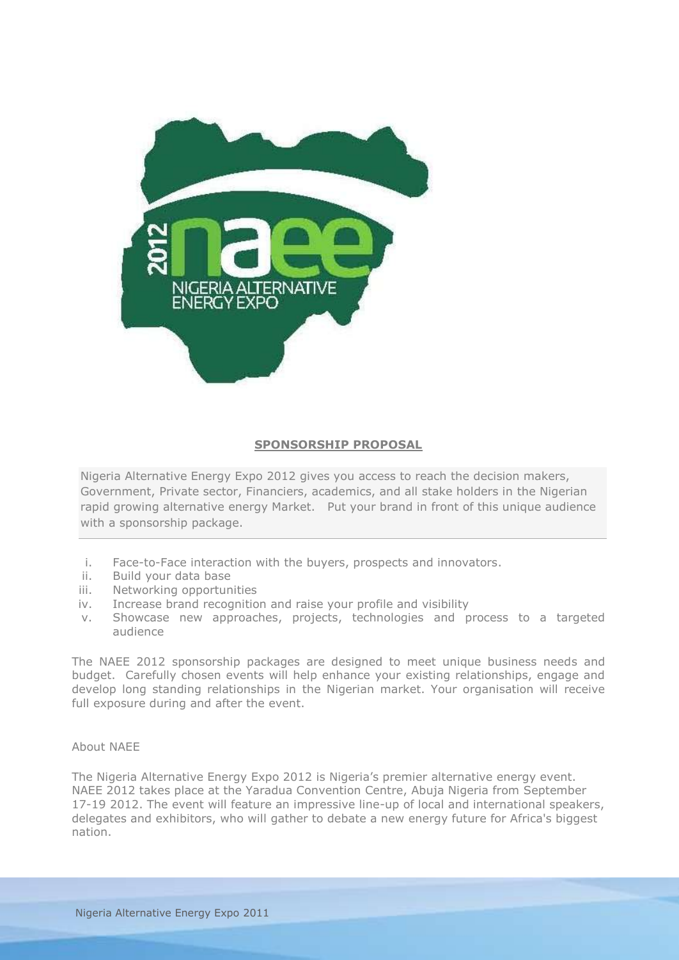

### **SPONSORSHIP PROPOSAL**

Nigeria Alternative Energy Expo 2012 gives you access to reach the decision makers, Government, Private sector, Financiers, academics, and all stake holders in the Nigerian rapid growing alternative energy Market. Put your brand in front of this unique audience with a sponsorship package.

- i. Face-to-Face interaction with the buyers, prospects and innovators.
- ii. Build your data base
- iii. Networking opportunities
- iv. Increase brand recognition and raise your profile and visibility
- v. Showcase new approaches, projects, technologies and process to a targeted audience

The NAEE 2012 sponsorship packages are designed to meet unique business needs and budget. Carefully chosen events will help enhance your existing relationships, engage and develop long standing relationships in the Nigerian market. Your organisation will receive full exposure during and after the event.

#### About NAEE

The Nigeria Alternative Energy Expo 2012 is Nigeria's premier alternative energy event. NAEE 2012 takes place at the Yaradua Convention Centre, Abuja Nigeria from September 17-19 2012. The event will feature an impressive line-up of local and international speakers, delegates and exhibitors, who will gather to debate a new energy future for Africa's biggest nation.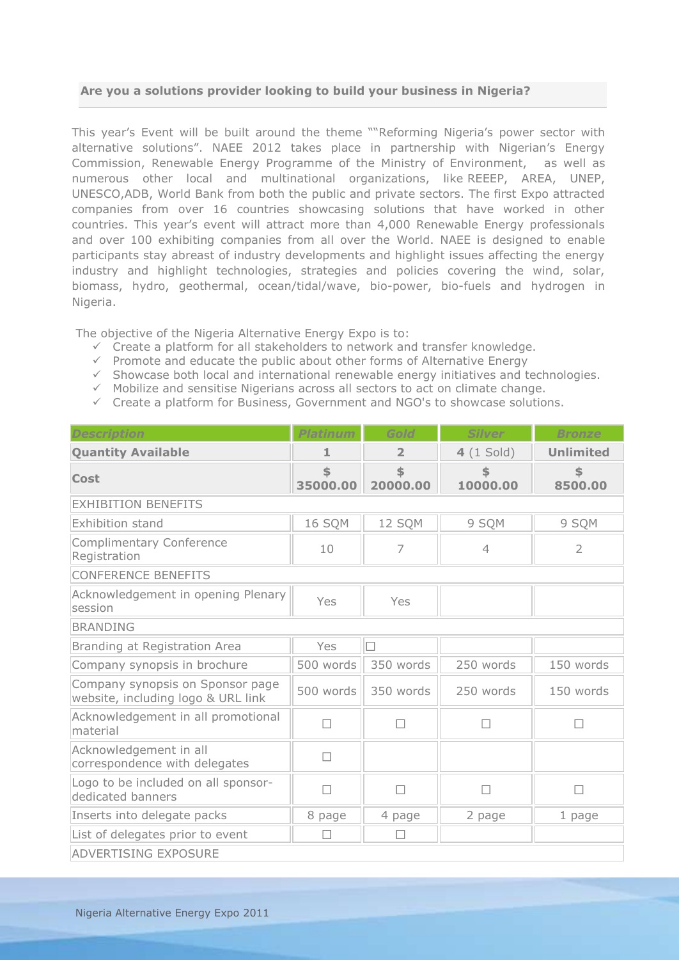#### **Are you a solutions provider looking to build your business in Nigeria?**

This year's Event will be built around the theme ""Reforming Nigeria's power sector with alternative solutions". NAEE 2012 takes place in partnership with Nigerian's Energy Commission, Renewable Energy Programme of the Ministry of Environment, as well as numerous other local and multinational organizations, like REEEP, AREA, UNEP, UNESCO,ADB, World Bank from both the public and private sectors. The first Expo attracted companies from over 16 countries showcasing solutions that have worked in other countries. This year's event will attract more than 4,000 Renewable Energy professionals and over 100 exhibiting companies from all over the World. NAEE is designed to enable participants stay abreast of industry developments and highlight issues affecting the energy industry and highlight technologies, strategies and policies covering the wind, solar, biomass, hydro, geothermal, ocean/tidal/wave, bio-power, bio-fuels and hydrogen in Nigeria.

The objective of the Nigeria Alternative Energy Expo is to:

- $\checkmark$  Create a platform for all stakeholders to network and transfer knowledge.
- $\checkmark$  Promote and educate the public about other forms of Alternative Energy
- $\checkmark$  Showcase both local and international renewable energy initiatives and technologies.
- $\checkmark$  Mobilize and sensitise Nigerians across all sectors to act on climate change.
- $\checkmark$  Create a platform for Business, Government and NGO's to showcase solutions.

| Description                                                            | <b>Platinum</b> | Gold           | <b>Silver</b>  | Bronze           |
|------------------------------------------------------------------------|-----------------|----------------|----------------|------------------|
| <b>Quantity Available</b>                                              | 1               | $\overline{2}$ | $4(1$ Sold)    | <b>Unlimited</b> |
| <b>Cost</b>                                                            | \$<br>35000.00  | \$<br>20000.00 | 10000.00       | \$<br>8500.00    |
| <b>EXHIBITION BENEFITS</b>                                             |                 |                |                |                  |
| <b>Exhibition stand</b>                                                | 16 SQM          | 12 SQM         | 9 SQM          | 9 SQM            |
| <b>Complimentary Conference</b><br>Registration                        | 10              | 7              | $\overline{4}$ | $\overline{2}$   |
| <b>CONFERENCE BENEFITS</b>                                             |                 |                |                |                  |
| Acknowledgement in opening Plenary<br>session                          | Yes             | Yes            |                |                  |
| <b>BRANDING</b>                                                        |                 |                |                |                  |
| Branding at Registration Area                                          | Yes             | $\Box$         |                |                  |
| Company synopsis in brochure                                           | 500 words       | 350 words      | 250 words      | 150 words        |
| Company synopsis on Sponsor page<br>website, including logo & URL link | 500 words       | 350 words      | 250 words      | 150 words        |
| Acknowledgement in all promotional<br>material                         | $\Box$          | □              | П              | П                |
| Acknowledgement in all<br>correspondence with delegates                | $\Box$          |                |                |                  |
| Logo to be included on all sponsor-<br>dedicated banners               | $\Box$          | $\Box$         | $\Box$         | $\Box$           |
| Inserts into delegate packs                                            | 8 page          | 4 page         | 2 page         | $1$ page         |
| List of delegates prior to event                                       | П               | □              |                |                  |
| <b>ADVERTISING EXPOSURE</b>                                            |                 |                |                |                  |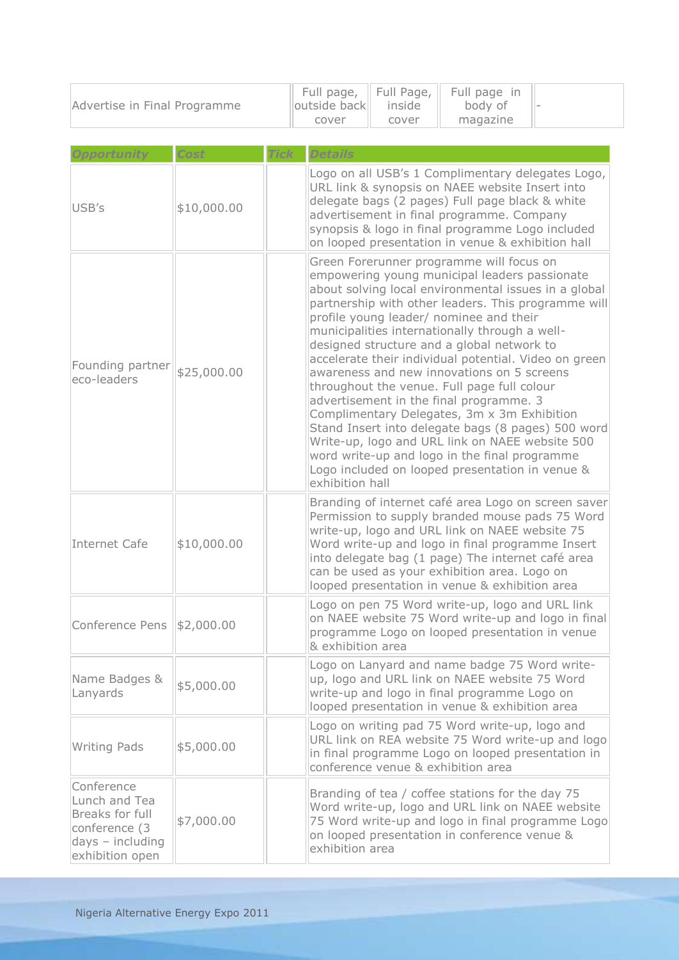| Advertise in Final Programme |      |             | Full page,<br>outside back<br>cover | Full Page,<br>inside<br>cover | Full page in<br>body of<br>magazine |  |
|------------------------------|------|-------------|-------------------------------------|-------------------------------|-------------------------------------|--|
|                              | Cost | <b>Tick</b> |                                     |                               |                                     |  |

| USB's                                                                                                    | \$10,000.00 | Logo on all USB's 1 Complimentary delegates Logo,<br>URL link & synopsis on NAEE website Insert into<br>delegate bags (2 pages) Full page black & white<br>advertisement in final programme. Company<br>synopsis & logo in final programme Logo included<br>on looped presentation in venue & exhibition hall                                                                                                                                                                                                                                                                                                                                                                                                                                                                                                                       |  |
|----------------------------------------------------------------------------------------------------------|-------------|-------------------------------------------------------------------------------------------------------------------------------------------------------------------------------------------------------------------------------------------------------------------------------------------------------------------------------------------------------------------------------------------------------------------------------------------------------------------------------------------------------------------------------------------------------------------------------------------------------------------------------------------------------------------------------------------------------------------------------------------------------------------------------------------------------------------------------------|--|
| Founding partner<br>eco-leaders                                                                          | \$25,000.00 | Green Forerunner programme will focus on<br>empowering young municipal leaders passionate<br>about solving local environmental issues in a global<br>partnership with other leaders. This programme will<br>profile young leader/ nominee and their<br>municipalities internationally through a well-<br>designed structure and a global network to<br>accelerate their individual potential. Video on green<br>awareness and new innovations on 5 screens<br>throughout the venue. Full page full colour<br>advertisement in the final programme. 3<br>Complimentary Delegates, 3m x 3m Exhibition<br>Stand Insert into delegate bags (8 pages) 500 word<br>Write-up, logo and URL link on NAEE website 500<br>word write-up and logo in the final programme<br>Logo included on looped presentation in venue &<br>exhibition hall |  |
| Internet Cafe                                                                                            | \$10,000.00 | Branding of internet café area Logo on screen saver<br>Permission to supply branded mouse pads 75 Word<br>write-up, logo and URL link on NAEE website 75<br>Word write-up and logo in final programme Insert<br>into delegate bag (1 page) The internet café area<br>can be used as your exhibition area. Logo on<br>looped presentation in venue & exhibition area                                                                                                                                                                                                                                                                                                                                                                                                                                                                 |  |
| Conference Pens \\$2,000.00                                                                              |             | Logo on pen 75 Word write-up, logo and URL link<br>on NAEE website 75 Word write-up and logo in final<br>programme Logo on looped presentation in venue<br>& exhibition area                                                                                                                                                                                                                                                                                                                                                                                                                                                                                                                                                                                                                                                        |  |
| Name Badges &<br>Lanyards                                                                                | \$5,000.00  | Logo on Lanyard and name badge 75 Word write-<br>up, logo and URL link on NAEE website 75 Word<br>write-up and logo in final programme Logo on<br>looped presentation in venue & exhibition area                                                                                                                                                                                                                                                                                                                                                                                                                                                                                                                                                                                                                                    |  |
| <b>Writing Pads</b>                                                                                      | \$5,000.00  | Logo on writing pad 75 Word write-up, logo and<br>URL link on REA website 75 Word write-up and logo<br>in final programme Logo on looped presentation in<br>conference venue & exhibition area                                                                                                                                                                                                                                                                                                                                                                                                                                                                                                                                                                                                                                      |  |
| Conference<br>Lunch and Tea<br>Breaks for full<br>conference (3<br>$days - including$<br>exhibition open | \$7,000.00  | Branding of tea / coffee stations for the day 75<br>Word write-up, logo and URL link on NAEE website<br>75 Word write-up and logo in final programme Logo<br>on looped presentation in conference venue &<br>exhibition area                                                                                                                                                                                                                                                                                                                                                                                                                                                                                                                                                                                                        |  |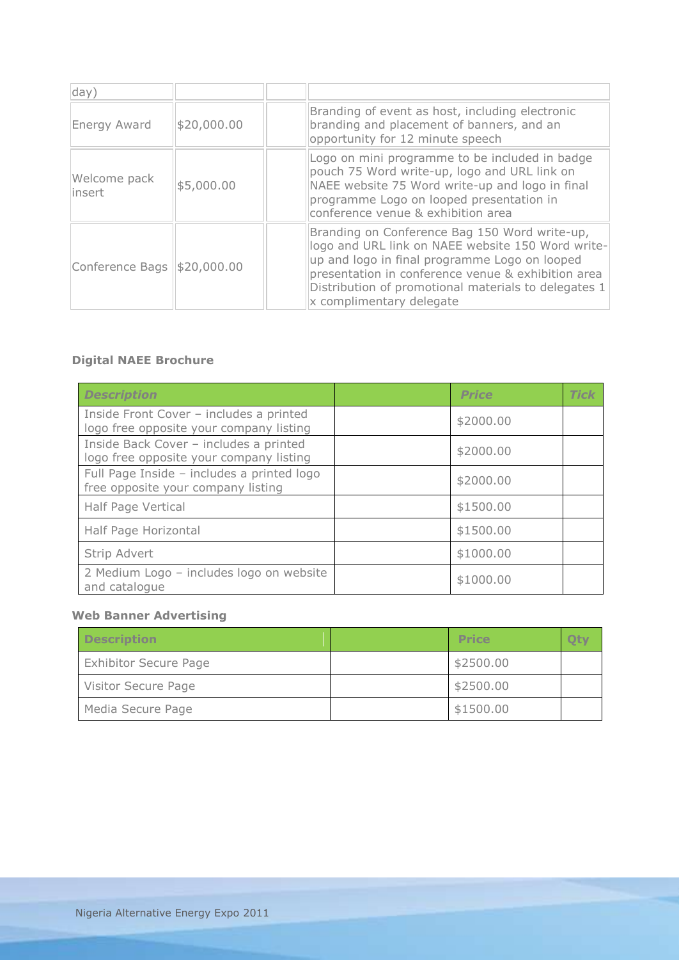| day)                          |             |                                                                                                                                                                                                                                                                                               |
|-------------------------------|-------------|-----------------------------------------------------------------------------------------------------------------------------------------------------------------------------------------------------------------------------------------------------------------------------------------------|
| Energy Award                  | \$20,000.00 | Branding of event as host, including electronic<br>branding and placement of banners, and an<br>opportunity for 12 minute speech                                                                                                                                                              |
| Welcome pack<br>insert        | \$5,000.00  | Logo on mini programme to be included in badge<br>pouch 75 Word write-up, logo and URL link on<br>NAEE website 75 Word write-up and logo in final<br>programme Logo on looped presentation in<br>conference venue & exhibition area                                                           |
| Conference Bags   \$20,000.00 |             | Branding on Conference Bag 150 Word write-up,<br>logo and URL link on NAEE website 150 Word write-<br>up and logo in final programme Logo on looped<br>presentation in conference venue & exhibition area<br>Distribution of promotional materials to delegates 1<br>x complimentary delegate |

# **Digital NAEE Brochure**

| <b>Description</b>                                                                 | <b>Price</b> | <b>Tick</b> |
|------------------------------------------------------------------------------------|--------------|-------------|
| Inside Front Cover - includes a printed<br>logo free opposite your company listing | \$2000.00    |             |
| Inside Back Cover - includes a printed<br>logo free opposite your company listing  | \$2000.00    |             |
| Full Page Inside - includes a printed logo<br>free opposite your company listing   | \$2000.00    |             |
| Half Page Vertical                                                                 | \$1500.00    |             |
| Half Page Horizontal                                                               | \$1500.00    |             |
| Strip Advert                                                                       | \$1000.00    |             |
| 2 Medium Logo - includes logo on website<br>and catalogue                          | \$1000.00    |             |

## **Web Banner Advertising**

| <b>Description</b>           | <b>Price</b> |  |
|------------------------------|--------------|--|
| <b>Exhibitor Secure Page</b> | \$2500.00    |  |
| Visitor Secure Page          | \$2500.00    |  |
| Media Secure Page            | \$1500.00    |  |